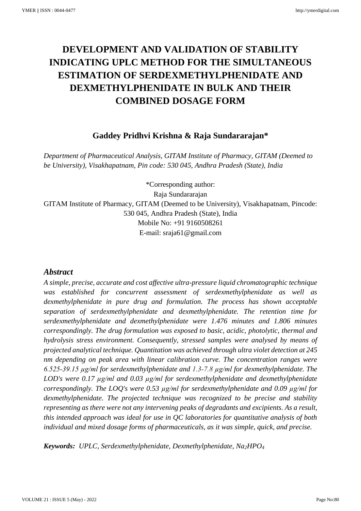# **DEVELOPMENT AND VALIDATION OF STABILITY INDICATING UPLC METHOD FOR THE SIMULTANEOUS ESTIMATION OF SERDEXMETHYLPHENIDATE AND DEXMETHYLPHENIDATE IN BULK AND THEIR COMBINED DOSAGE FORM**

## **Gaddey Pridhvi Krishna & Raja Sundararajan\***

*Department of Pharmaceutical Analysis, GITAM Institute of Pharmacy, GITAM (Deemed to be University), Visakhapatnam, Pin code: 530 045, Andhra Pradesh (State), India*

\*Corresponding author: Raja Sundararajan GITAM Institute of Pharmacy, GITAM (Deemed to be University), Visakhapatnam, Pincode: 530 045, Andhra Pradesh (State), India Mobile No: +91 9160508261 E-mail: sraja61@gmail.com

### *Abstract*

*A simple, precise, accurate and cost affective ultra-pressure liquid chromatographic technique was established for concurrent assessment of serdexmethylphenidate as well as dexmethylphenidate in pure drug and formulation. The process has shown acceptable separation of serdexmethylphenidate and dexmethylphenidate. The retention time for serdexmethylphenidate and dexmethylphenidate were 1.476 minutes and 1.806 minutes correspondingly. The drug formulation was exposed to basic, acidic, photolytic, thermal and hydrolysis stress environment. Consequently, stressed samples were analysed by means of projected analytical technique. Quantitation was achieved through ultra violet detection at 245 nm depending on peak area with linear calibration curve. The concentration ranges were 6.525-39.15 µg/ml for serdexmethylphenidate and 1.3-7.8 µg/ml for dexmethylphenidate. The LOD's were 0.17 µg/ml and 0.03 µg/ml for serdexmethylphenidate and dexmethylphenidate correspondingly. The LOQ's were 0.53 µg/ml for serdexmethylphenidate and 0.09 µg/ml for dexmethylphenidate. The projected technique was recognized to be precise and stability representing as there were not any intervening peaks of degradants and excipients. As a result, this intended approach was ideal for use in QC laboratories for quantitative analysis of both individual and mixed dosage forms of pharmaceuticals, as it was simple, quick, and precise.*

*Keywords: UPLC, Serdexmethylphenidate, Dexmethylphenidate, Na2HPO<sup>4</sup>*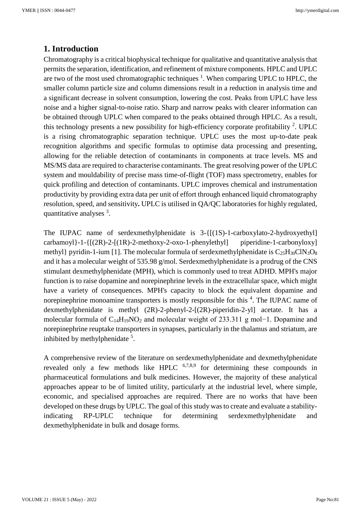## **1. Introduction**

Chromatography is a critical biophysical technique for qualitative and quantitative analysis that permits the separation, identification, and refinement of mixture components. HPLC and UPLC are two of the most used chromatographic techniques  $1$ . When comparing UPLC to HPLC, the smaller column particle size and column dimensions result in a reduction in analysis time and a significant decrease in solvent consumption, lowering the cost. Peaks from UPLC have less noise and a higher signal-to-noise ratio. Sharp and narrow peaks with clearer information can be obtained through UPLC when compared to the peaks obtained through HPLC. As a result, this technology presents a new possibility for high-efficiency corporate profitability  $2$ . UPLC is a rising chromatographic separation technique. UPLC uses the most up-to-date peak recognition algorithms and specific formulas to optimise data processing and presenting, allowing for the reliable detection of contaminants in components at trace levels. MS and MS/MS data are required to characterise contaminants. The great resolving power of the UPLC system and mouldability of precise mass time-of-flight (TOF) mass spectrometry, enables for quick profiling and detection of contaminants. UPLC improves chemical and instrumentation productivity by providing extra data per unit of effort through enhanced liquid chromatography resolution, speed, and sensitivity**.** UPLC is utilised in QA/QC laboratories for highly regulated, quantitative analyses <sup>3</sup>.

The IUPAC name of serdexmethylphenidate is  $3 - \{[(1S) - 1 - \text{carbox} \times \text{C} - 2 - \text{hydrox} \times \text{C} \times \text{C} - 2 - \text{hydrox} \times \text{C} \times \text{C} \times \text{C} \times \text{C} \times \text{C} \times \text{C} \times \text{C} \times \text{C} \times \text{C} \times \text{C} \times \text{C} \times \text{C} \times \text{C} \times \text{C} \times \text{C} \times \text{C} \times \text{C}$  $carbamov1}-1-{[(2R)-2-[(1R)-2-methoxy-2-oxo-1-phenylethyl]}$  piperidine-1-carbonyloxy] methyl} pyridin-1-ium [1]. The molecular formula of serdexmethylphenidate is  $C_{25}H_{30}CIN_{3}O_{8}$ and it has a molecular weight of 535.98 g/mol. Serdexmethylphenidate is a prodrug of the CNS stimulant dexmethylphenidate (MPH), which is commonly used to treat ADHD. MPH's major function is to raise dopamine and norepinephrine levels in the extracellular space, which might have a variety of consequences. MPH's capacity to block the equivalent dopamine and norepinephrine monoamine transporters is mostly responsible for this <sup>4</sup>. The IUPAC name of dexmethylphenidate is methyl (2R)-2-phenyl-2-[(2R)-piperidin-2-yl] acetate. It has a molecular formula of C14H19NO<sup>2</sup> and molecular weight of 233.311 g mol−1. Dopamine and norepinephrine reuptake transporters in synapses, particularly in the thalamus and striatum, are inhibited by methylphenidate <sup>5</sup>.

A comprehensive review of the literature on serdexmethylphenidate and dexmethylphenidate revealed only a few methods like HPLC  $6,7,8,9$  for determining these compounds in pharmaceutical formulations and bulk medicines. However, the majority of these analytical approaches appear to be of limited utility, particularly at the industrial level, where simple, economic, and specialised approaches are required. There are no works that have been developed on these drugs by UPLC. The goal of this study was to create and evaluate a stabilityindicating RP-UPLC technique for determining serdexmethylphenidate and dexmethylphenidate in bulk and dosage forms.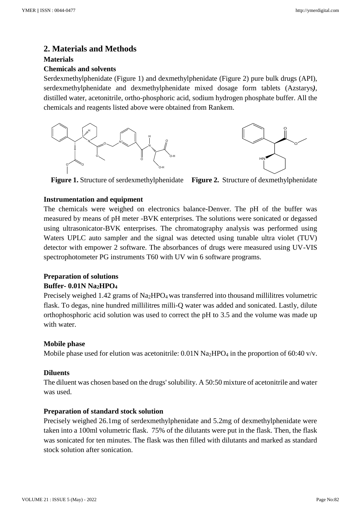## **2. Materials and Methods**

#### **Materials**

#### **Chemicals and solvents**

Serdexmethylphenidate (Figure 1) and dexmethylphenidate (Figure 2) pure bulk drugs (API), serdexmethylphenidate and dexmethylphenidate mixed dosage form tablets (Azstarys*)*, distilled water, acetonitrile, ortho-phosphoric acid, sodium hydrogen phosphate buffer. All the chemicals and reagents listed above were obtained from Rankem.



**Figure 1.** Structure of serdexmethylphenidate **Figure 2.** Structure of dexmethylphenidate

#### **Instrumentation and equipment**

The chemicals were weighed on electronics balance-Denver. The pH of the buffer was measured by means of pH meter -BVK enterprises. The solutions were sonicated or degassed using ultrasonicator-BVK enterprises. The chromatography analysis was performed using Waters UPLC auto sampler and the signal was detected using tunable ultra violet (TUV) detector with empower 2 software. The absorbances of drugs were measured using UV-VIS spectrophotometer PG instruments T60 with UV win 6 software programs.

## **Preparation of solutions**

## **Buffer- 0.01N Na2HPO<sup>4</sup>**

Precisely weighed 1.42 grams of  $Na<sub>2</sub>HPO<sub>4</sub>$  was transferred into thousand millilitres volumetric flask. To degas, nine hundred millilitres milli-Q water was added and sonicated. Lastly, dilute orthophosphoric acid solution was used to correct the pH to 3.5 and the volume was made up with water.

#### **Mobile phase**

Mobile phase used for elution was acetonitrile:  $0.01N$  Na<sub>2</sub>HPO<sub>4</sub> in the proportion of 60:40 v/v.

#### **Diluents**

The diluent was chosen based on the drugs' solubility. A 50:50 mixture of acetonitrile and water was used.

#### **Preparation of standard stock solution**

Precisely weighed 26.1mg of serdexmethylphenidate and 5.2mg of dexmethylphenidate were taken into a 100ml volumetric flask. 75% of the dilutants were put in the flask. Then, the flask was sonicated for ten minutes. The flask was then filled with dilutants and marked as standard stock solution after sonication.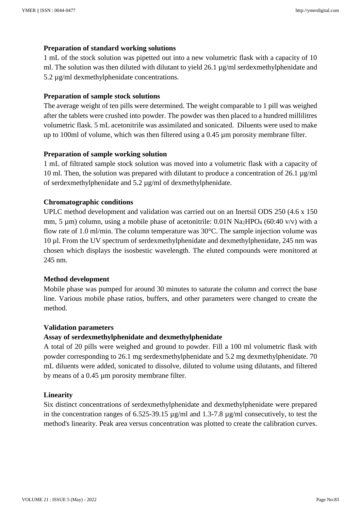#### **Preparation of standard working solutions**

1 mL of the stock solution was pipetted out into a new volumetric flask with a capacity of 10 ml. The solution was then diluted with dilutant to yield  $26.1 \mu g/ml$  serdexmethylphenidate and 5.2 µg/ml dexmethylphenidate concentrations.

#### **Preparation of sample stock solutions**

The average weight of ten pills were determined. The weight comparable to 1 pill was weighed after the tablets were crushed into powder. The powder was then placed to a hundred millilitres volumetric flask. 5 mL acetonitrile was assimilated and sonicated. Diluents were used to make up to 100ml of volume, which was then filtered using a 0.45 µm porosity membrane filter.

#### **Preparation of sample working solution**

1 mL of filtrated sample stock solution was moved into a volumetric flask with a capacity of 10 ml. Then, the solution was prepared with dilutant to produce a concentration of 26.1  $\mu$ g/ml of serdexmethylphenidate and 5.2 µg/ml of dexmethylphenidate.

#### **Chromatographic conditions**

UPLC method development and validation was carried out on an Inertsil ODS 250 (4.6 x 150 mm, 5  $\mu$ m) column, using a mobile phase of acetonitrile: 0.01N Na<sub>2</sub>HPO<sub>4</sub> (60:40 v/v) with a flow rate of 1.0 ml/min. The column temperature was 30°C. The sample injection volume was 10 µl. From the UV spectrum of serdexmethylphenidate and dexmethylphenidate, 245 nm was chosen which displays the isosbestic wavelength. The eluted compounds were monitored at 245 nm.

#### **Method development**

Mobile phase was pumped for around 30 minutes to saturate the column and correct the base line. Various mobile phase ratios, buffers, and other parameters were changed to create the method.

#### **Validation parameters**

#### **Assay of serdexmethylphenidate and dexmethylphenidate**

A total of 20 pills were weighed and ground to powder. Fill a 100 ml volumetric flask with powder corresponding to 26.1 mg serdexmethylphenidate and 5.2 mg dexmethylphenidate. 70 mL diluents were added, sonicated to dissolve, diluted to volume using dilutants, and filtered by means of a 0.45 µm porosity membrane filter.

#### **Linearity**

Six distinct concentrations of serdexmethylphenidate and dexmethylphenidate were prepared in the concentration ranges of 6.525-39.15 µg/ml and 1.3-7.8 µg/ml consecutively, to test the method's linearity. Peak area versus concentration was plotted to create the calibration curves.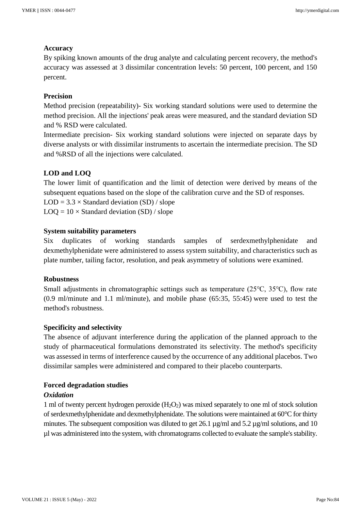#### **Accuracy**

By spiking known amounts of the drug analyte and calculating percent recovery, the method's accuracy was assessed at 3 dissimilar concentration levels: 50 percent, 100 percent, and 150 percent.

#### **Precision**

Method precision (repeatability)- Six working standard solutions were used to determine the method precision. All the injections' peak areas were measured, and the standard deviation SD and % RSD were calculated.

Intermediate precision- Six working standard solutions were injected on separate days by diverse analysts or with dissimilar instruments to ascertain the intermediate precision. The SD and %RSD of all the injections were calculated.

## **LOD and LOQ**

The lower limit of quantification and the limit of detection were derived by means of the subsequent equations based on the slope of the calibration curve and the SD of responses.

 $LOD = 3.3 \times Standard deviation (SD) / slope$ 

 $LOQ = 10 \times Standard$  deviation (SD) / slope

#### **System suitability parameters**

Six duplicates of working standards samples of serdexmethylphenidate and dexmethylphenidate were administered to assess system suitability, and characteristics such as plate number, tailing factor, resolution, and peak asymmetry of solutions were examined.

#### **Robustness**

Small adjustments in chromatographic settings such as temperature (25℃, 35℃), flow rate (0.9 ml/minute and 1.1 ml/minute), and mobile phase (65:35, 55:45) were used to test the method's robustness.

#### **Specificity and selectivity**

The absence of adjuvant interference during the application of the planned approach to the study of pharmaceutical formulations demonstrated its selectivity. The method's specificity was assessed in terms of interference caused by the occurrence of any additional placebos. Two dissimilar samples were administered and compared to their placebo counterparts.

#### **Forced degradation studies**

#### *Oxidation*

1 ml of twenty percent hydrogen peroxide  $(H_2O_2)$  was mixed separately to one ml of stock solution of serdexmethylphenidate and dexmethylphenidate. The solutions were maintained at 60°C for thirty minutes. The subsequent composition was diluted to get 26.1  $\mu$ g/ml and 5.2  $\mu$ g/ml solutions, and 10 µl was administered into the system, with chromatograms collected to evaluate the sample's stability.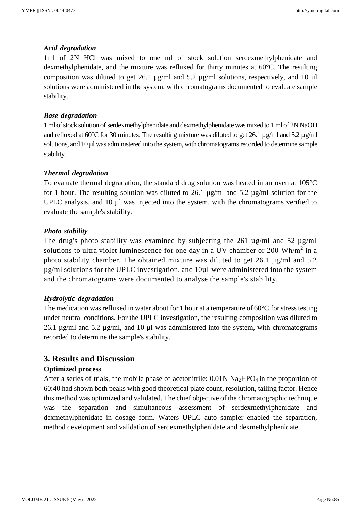#### *Acid degradation*

1ml of 2N HCl was mixed to one ml of stock solution serdexmethylphenidate and dexmethylphenidate, and the mixture was refluxed for thirty minutes at 60°C. The resulting composition was diluted to get 26.1 µg/ml and 5.2 µg/ml solutions, respectively, and 10 µl solutions were administered in the system, with chromatograms documented to evaluate sample stability.

#### *Base degradation*

1 ml of stock solution of serdexmethylphenidate and dexmethylphenidate was mixed to 1 ml of 2N NaOH and refluxed at 60 $^{\circ}$ C for 30 minutes. The resulting mixture was diluted to get 26.1 µg/ml and 5.2 µg/ml solutions, and 10 µl was administered into the system, with chromatograms recorded to determine sample stability.

#### *Thermal degradation*

To evaluate thermal degradation, the standard drug solution was heated in an oven at 105°C for 1 hour. The resulting solution was diluted to 26.1  $\mu$ g/ml and 5.2  $\mu$ g/ml solution for the UPLC analysis, and 10 µl was injected into the system, with the chromatograms verified to evaluate the sample's stability.

#### *Photo stability*

The drug's photo stability was examined by subjecting the 261 µg/ml and 52 µg/ml solutions to ultra violet luminescence for one day in a UV chamber or  $200-Wh/m^2$  in a photo stability chamber. The obtained mixture was diluted to get 26.1 µg/ml and 5.2  $\mu$ g/ml solutions for the UPLC investigation, and  $10\mu$ l were administered into the system and the chromatograms were documented to analyse the sample's stability.

#### *Hydrolytic degradation*

The medication was refluxed in water about for 1 hour at a temperature of 60°C for stress testing under neutral conditions. For the UPLC investigation, the resulting composition was diluted to 26.1  $\mu$ g/ml and 5.2  $\mu$ g/ml, and 10  $\mu$ l was administered into the system, with chromatograms recorded to determine the sample's stability.

## **3. Results and Discussion**

#### **Optimized process**

After a series of trials, the mobile phase of acetonitrile:  $0.01N$  Na<sub>2</sub>HPO<sub>4</sub> in the proportion of 60:40 had shown both peaks with good theoretical plate count, resolution, tailing factor. Hence this method was optimized and validated. The chief objective of the chromatographic technique was the separation and simultaneous assessment of serdexmethylphenidate and dexmethylphenidate in dosage form. Waters UPLC auto sampler enabled the separation, method development and validation of serdexmethylphenidate and dexmethylphenidate.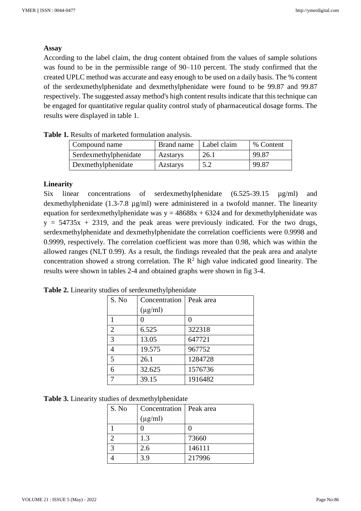## **Assay**

According to the label claim, the drug content obtained from the values of sample solutions was found to be in the permissible range of 90–110 percent. The study confirmed that the created UPLC method was accurate and easy enough to be used on a daily basis. The % content of the serdexmethylphenidate and dexmethylphenidate were found to be 99.87 and 99.87 respectively. The suggested assay method's high content results indicate that this technique can be engaged for quantitative regular quality control study of pharmaceutical dosage forms. The results were displayed in table 1.

| Compound name         | Brand name      | Label claim | % Content |
|-----------------------|-----------------|-------------|-----------|
| Serdexmethylphenidate | Azstarys        | 26.1        | 99.87     |
| Dexmethylphenidate    | <b>Azstarys</b> | 5.2         | 99.87     |

|  |  | Table 1. Results of marketed formulation analysis. |  |
|--|--|----------------------------------------------------|--|
|  |  |                                                    |  |

### **Linearity**

Six linear concentrations of serdexmethylphenidate (6.525-39.15  $\mu$ g/ml) and dexmethylphenidate (1.3-7.8 µg/ml) were administered in a twofold manner. The linearity equation for serdexmethylphenidate was  $y = 48688x + 6324$  and for dexmethylphenidate was  $y = 54735x + 2319$ , and the peak areas were previously indicated. For the two drugs, serdexmethylphenidate and dexmethylphenidate the correlation coefficients were 0.9998 and 0.9999, respectively. The correlation coefficient was more than 0.98, which was within the allowed ranges (NLT 0.99). As a result, the findings revealed that the peak area and analyte concentration showed a strong correlation. The  $R^2$  high value indicated good linearity. The results were shown in tables 2-4 and obtained graphs were shown in fig 3-4.

| S. No          | Concentration | Peak area |
|----------------|---------------|-----------|
|                | $(\mu g/ml)$  |           |
|                |               |           |
| $\overline{2}$ | 6.525         | 322318    |
| 3              | 13.05         | 647721    |
| $\overline{4}$ | 19.575        | 967752    |
| 5              | 26.1          | 1284728   |
| 6              | 32.625        | 1576736   |
| 7              | 39.15         | 1916482   |

**Table 2.** Linearity studies of serdexmethylphenidate

|  |  |  |  | Table 3. Linearity studies of dexmethylphenidate |
|--|--|--|--|--------------------------------------------------|
|--|--|--|--|--------------------------------------------------|

| S. No | Concentration   Peak area |        |
|-------|---------------------------|--------|
|       | $(\mu g/ml)$              |        |
|       |                           |        |
|       | 1.3                       | 73660  |
|       | 2.6                       | 146111 |
|       | 3.9                       | 217996 |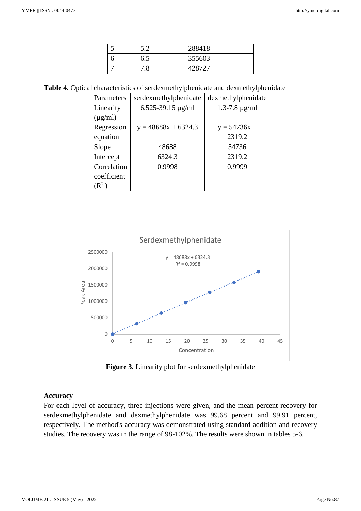| 5.2           | 288418 |
|---------------|--------|
| 6.5           | 355603 |
| $^{\circ}$ .8 | 428727 |

**Table 4.** Optical characteristics of serdexmethylphenidate and dexmethylphenidate

| Parameters   | serdexmethylphenidate      | dexmethylphenidate   |
|--------------|----------------------------|----------------------|
| Linearity    | $6.525 - 39.15 \,\mu g/ml$ | $1.3 - 7.8 \mu g/ml$ |
| $(\mu g/ml)$ |                            |                      |
| Regression   | $y = 48688x + 6324.3$      | $y = 54736x +$       |
| equation     |                            | 2319.2               |
| Slope        | 48688                      | 54736                |
| Intercept    | 6324.3                     | 2319.2               |
| Correlation  | 0.9998                     | 0.9999               |
| coefficient  |                            |                      |
| $(R^2)$      |                            |                      |



**Figure 3.** Linearity plot for serdexmethylphenidate

#### **Accuracy**

For each level of accuracy, three injections were given, and the mean percent recovery for serdexmethylphenidate and dexmethylphenidate was 99.68 percent and 99.91 percent, respectively. The method's accuracy was demonstrated using standard addition and recovery studies. The recovery was in the range of 98-102%. The results were shown in tables 5-6.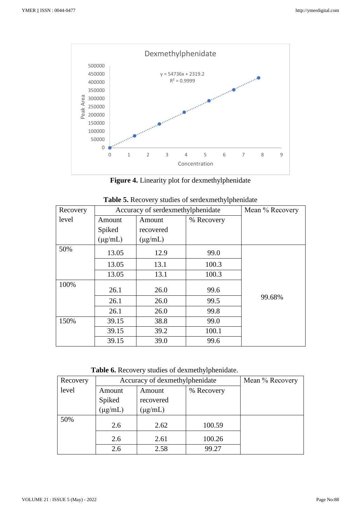

**Figure 4.** Linearity plot for dexmethylphenidate

| Recovery | Accuracy of serdexmethylphenidate |              |            | Mean % Recovery |
|----------|-----------------------------------|--------------|------------|-----------------|
| level    | Amount                            | Amount       | % Recovery |                 |
|          | Spiked                            | recovered    |            |                 |
|          | $(\mu g/mL)$                      | $(\mu g/mL)$ |            |                 |
| 50%      | 13.05                             | 12.9         | 99.0       |                 |
|          | 13.05                             | 13.1         | 100.3      |                 |
|          | 13.05                             | 13.1         | 100.3      |                 |
| 100%     | 26.1                              | 26.0         | 99.6       |                 |
|          |                                   |              |            |                 |
|          | 26.1                              | 26.0         | 99.5       | 99.68%          |
|          | 26.1                              | 26.0         | 99.8       |                 |
| 150%     | 39.15                             | 38.8         | 99.0       |                 |
|          | 39.15                             | 39.2         | 100.1      |                 |
|          | 39.15                             | 39.0         | 99.6       |                 |

| Table 5. Recovery studies of serdexmethylphenidate |
|----------------------------------------------------|
|----------------------------------------------------|

**Table 6.** Recovery studies of dexmethylphenidate.

| Recovery | Accuracy of dexmethylphenidate |              |            | Mean % Recovery |
|----------|--------------------------------|--------------|------------|-----------------|
| level    | Amount                         | Amount       | % Recovery |                 |
|          | Spiked                         | recovered    |            |                 |
|          | $(\mu g/mL)$                   | $(\mu g/mL)$ |            |                 |
| 50%      | 2.6                            | 2.62         | 100.59     |                 |
|          | 2.6                            | 2.61         | 100.26     |                 |
|          | 2.6                            | 2.58         | 99.27      |                 |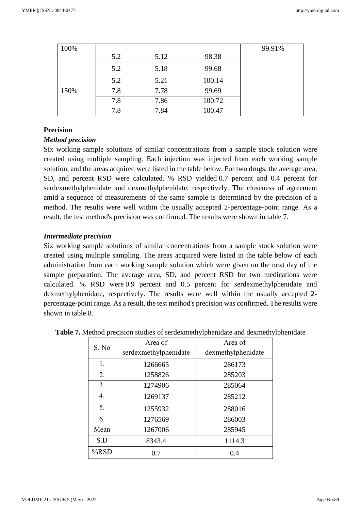| 100% |     |      |        | 99.91% |
|------|-----|------|--------|--------|
|      | 5.2 | 5.12 | 98.38  |        |
|      | 5.2 | 5.18 | 99.68  |        |
|      | 5.2 | 5.21 | 100.14 |        |
| 150% | 7.8 | 7.78 | 99.69  |        |
|      | 7.8 | 7.86 | 100.72 |        |
|      | 7.8 | 7.84 | 100.47 |        |

## **Precision**

#### *Method precision*

Six working sample solutions of similar concentrations from a sample stock solution were created using multiple sampling. Each injection was injected from each working sample solution, and the areas acquired were listed in the table below. For two drugs, the average area, SD, and percent RSD were calculated. % RSD yielded 0.7 percent and 0.4 percent for serdexmethylphenidate and dexmethylphenidate, respectively. The closeness of agreement amid a sequence of measurements of the same sample is determined by the precision of a method. The results were well within the usually accepted 2-percentage-point range. As a result, the test method's precision was confirmed. The results were shown in table 7.

#### *Intermediate precision*

Six working sample solutions of similar concentrations from a sample stock solution were created using multiple sampling. The areas acquired were listed in the table below of each administration from each working sample solution which were given on the next day of the sample preparation. The average area, SD, and percent RSD for two medications were calculated. % RSD were 0.9 percent and 0.5 percent for serdexmethylphenidate and dexmethylphenidate, respectively. The results were well within the usually accepted 2 percentage-point range. As a result, the test method's precision was confirmed. The results were shown in table 8.

| S. No   | Area of               | Area of            |
|---------|-----------------------|--------------------|
|         | serdexmethylphenidate | dexmethylphenidate |
| 1.      | 1266665               | 286173             |
| 2.      | 1258826               | 285203             |
| 3.      | 1274906               | 285064             |
| 4.      | 1269137               | 285212             |
| 5.      | 1255932               | 288016             |
| 6.      | 1276569               | 286003             |
| Mean    | 1267006               | 285945             |
| S.D     | 8343.4                | 1114.3             |
| $%$ RSD | 0.7                   | 0.4                |

| Table 7. Method precision studies of serdexmethylphenidate and dexmethylphenidate |  |
|-----------------------------------------------------------------------------------|--|
|-----------------------------------------------------------------------------------|--|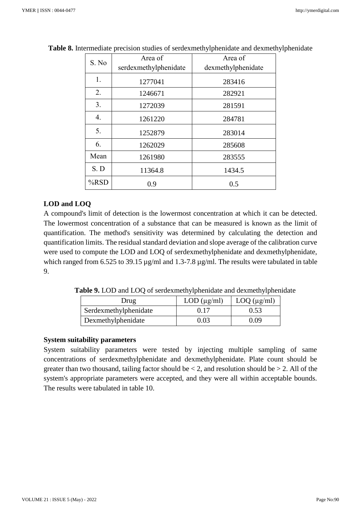| S. No            | Area of               | Area of            |  |
|------------------|-----------------------|--------------------|--|
|                  | serdexmethylphenidate | dexmethylphenidate |  |
| 1.               | 1277041               | 283416             |  |
| 2.               | 1246671               | 282921             |  |
| 3.               | 1272039               | 281591             |  |
| $\overline{4}$ . | 1261220               | 284781             |  |
| 5.               | 1252879               | 283014             |  |
| 6.               | 1262029               | 285608             |  |
| Mean             | 1261980               | 283555             |  |
| S. D             | 11364.8               | 1434.5             |  |
| %RSD             | 0.9                   | 0.5                |  |

**Table 8.** Intermediate precision studies of serdexmethylphenidate and dexmethylphenidate

## **LOD and LOQ**

A compound's limit of detection is the lowermost concentration at which it can be detected. The lowermost concentration of a substance that can be measured is known as the limit of quantification. The method's sensitivity was determined by calculating the detection and quantification limits. The residual standard deviation and slope average of the calibration curve were used to compute the LOD and LOQ of serdexmethylphenidate and dexmethylphenidate, which ranged from 6.525 to 39.15  $\mu$ g/ml and 1.3-7.8  $\mu$ g/ml. The results were tabulated in table 9.

 **Table 9.** LOD and LOQ of serdexmethylphenidate and dexmethylphenidate

| Drug                  | LOD (µg/ml) | LOQ $(\mu g/ml)$ |
|-----------------------|-------------|------------------|
| Serdexmethylphenidate | 0.17        | 0.53             |
| Dexmethylphenidate    | 0.03        | 0.O9             |

## **System suitability parameters**

System suitability parameters were tested by injecting multiple sampling of same concentrations of serdexmethylphenidate and dexmethylphenidate. Plate count should be greater than two thousand, tailing factor should be  $\leq 2$ , and resolution should be  $\geq 2$ . All of the system's appropriate parameters were accepted, and they were all within acceptable bounds. The results were tabulated in table 10.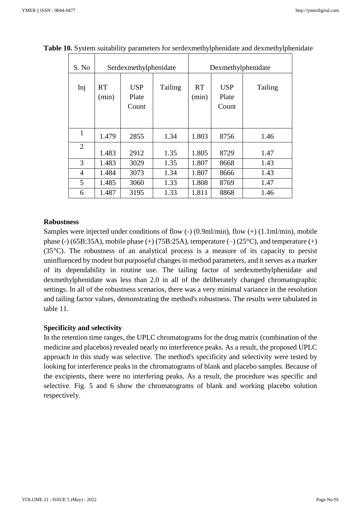| S. No          | Serdexmethylphenidate |                              | Dexmethylphenidate |                    |                              |         |
|----------------|-----------------------|------------------------------|--------------------|--------------------|------------------------------|---------|
| Inj            | <b>RT</b><br>(min)    | <b>USP</b><br>Plate<br>Count | Tailing            | <b>RT</b><br>(min) | <b>USP</b><br>Plate<br>Count | Tailing |
| 1              | 1.479                 | 2855                         | 1.34               | 1.803              | 8756                         | 1.46    |
| $\overline{2}$ | 1.483                 | 2912                         | 1.35               | 1.805              | 8729                         | 1.47    |
| 3              | 1.483                 | 3029                         | 1.35               | 1.807              | 8668                         | 1.43    |
| 4              | 1.484                 | 3073                         | 1.34               | 1.807              | 8666                         | 1.43    |
| 5              | 1.485                 | 3060                         | 1.33               | 1.808              | 8769                         | 1.47    |
| 6              | 1.487                 | 3195                         | 1.33               | 1.811              | 8868                         | 1.46    |

**Table 10.** System suitability parameters for serdexmethylphenidate and dexmethylphenidate

#### **Robustness**

Samples were injected under conditions of flow (-) (0.9ml/min), flow (+) (1.1ml/min), mobile phase (-) (65B:35A), mobile phase (+) (75B:25A), temperature (-) (25 $^{\circ}$ C), and temperature (+) (35°C). The robustness of an analytical process is a measure of its capacity to persist uninfluenced by modest but purposeful changes in method parameters, and it serves as a marker of its dependability in routine use. The tailing factor of serdexmethylphenidate and dexmethylphenidate was less than 2.0 in all of the deliberately changed chromatographic settings. In all of the robustness scenarios, there was a very minimal variance in the resolution and tailing factor values, demonstrating the method's robustness. The results were tabulated in table 11.

#### **Specificity and selectivity**

In the retention time ranges, the UPLC chromatograms for the drug matrix (combination of the medicine and placebos) revealed nearly no interference peaks. As a result, the proposed UPLC approach in this study was selective. The method's specificity and selectivity were tested by looking for interference peaks in the chromatograms of blank and placebo samples. Because of the excipients, there were no interfering peaks. As a result, the procedure was specific and selective. Fig. 5 and 6 show the chromatograms of blank and working placebo solution respectively.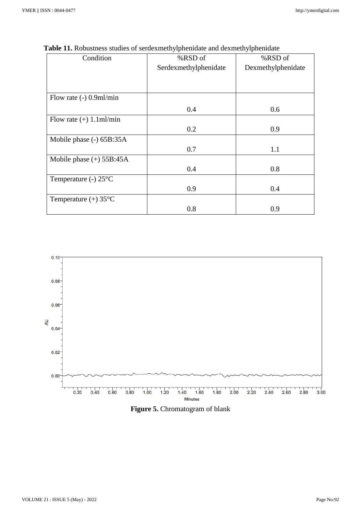| Condition                      | %RSD of               | %RSD of            |
|--------------------------------|-----------------------|--------------------|
|                                | Serdexmethylphenidate | Dexmethylphenidate |
|                                |                       |                    |
|                                |                       |                    |
| Flow rate $(-)$ 0.9ml/min      |                       |                    |
|                                | 0.4                   | 0.6                |
| Flow rate $(+)$ 1.1ml/min      |                       |                    |
|                                | 0.2                   | 0.9                |
| Mobile phase (-) 65B:35A       |                       |                    |
|                                | 0.7                   | 1.1                |
| Mobile phase $(+)$ 55B:45A     |                       |                    |
|                                | 0.4                   | 0.8                |
| Temperature (-) $25^{\circ}$ C |                       |                    |
|                                | 0.9                   | 0.4                |
| Temperature $(+) 35$ °C        |                       |                    |
|                                | 0.8                   | 0.9                |

**Table 11.** Robustness studies of serdexmethylphenidate and dexmethylphenidate



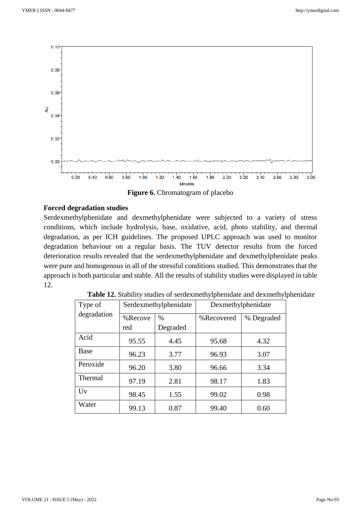

**Figure 6.** Chromatogram of placebo

## **Forced degradation studies**

Serdexmethylphenidate and dexmethylphenidate were subjected to a variety of stress conditions, which include hydrolysis, base, oxidative, acid, photo stability, and thermal degradation, as per ICH guidelines. The proposed UPLC approach was used to monitor degradation behaviour on a regular basis. The TUV detector results from the forced deterioration results revealed that the serdexmethylphenidate and dexmethylphenidate peaks were pure and homogenous in all of the stressful conditions studied. This demonstrates that the approach is both particular and stable. All the results of stability studies were displayed in table 12.

| Type of     | Serdexmethylphenidate |          | Dexmethylphenidate |            |
|-------------|-----------------------|----------|--------------------|------------|
| degradation | %Recove               | $\%$     | %Recovered         | % Degraded |
|             | red                   | Degraded |                    |            |
| Acid        | 95.55                 | 4.45     | 95.68              | 4.32       |
| Base        | 96.23                 | 3.77     | 96.93              | 3.07       |
| Peroxide    | 96.20                 | 3.80     | 96.66              | 3.34       |
| Thermal     | 97.19                 | 2.81     | 98.17              | 1.83       |
| Uv          | 98.45                 | 1.55     | 99.02              | 0.98       |
| Water       | 99.13                 | 0.87     | 99.40              | 0.60       |

|  | Table 12. Stability studies of serdexmethylphenidate and dexmethylphenidate |  |
|--|-----------------------------------------------------------------------------|--|
|  |                                                                             |  |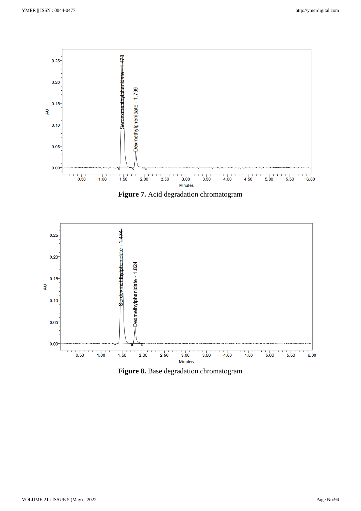

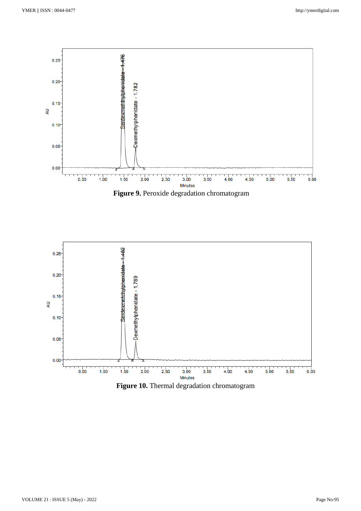



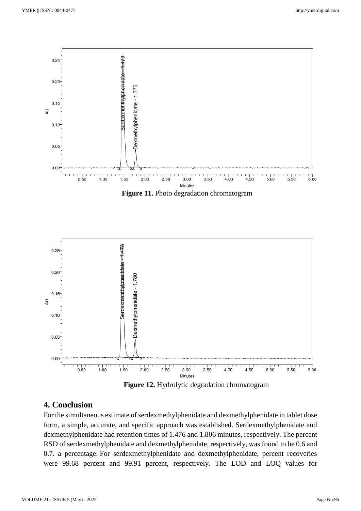



 **Figure 12.** Hydrolytic degradation chromatogram

## **4. Conclusion**

For the simultaneous estimate of serdexmethylphenidate and dexmethylphenidate in tablet dose form, a simple, accurate, and specific approach was established. Serdexmethylphenidate and dexmethylphenidate had retention times of 1.476 and 1.806 minutes, respectively. The percent RSD of serdexmethylphenidate and dexmethylphenidate, respectively, was found to be 0.6 and 0.7. a percentage. For serdexmethylphenidate and dexmethylphenidate, percent recoveries were 99.68 percent and 99.91 percent, respectively. The LOD and LOQ values for